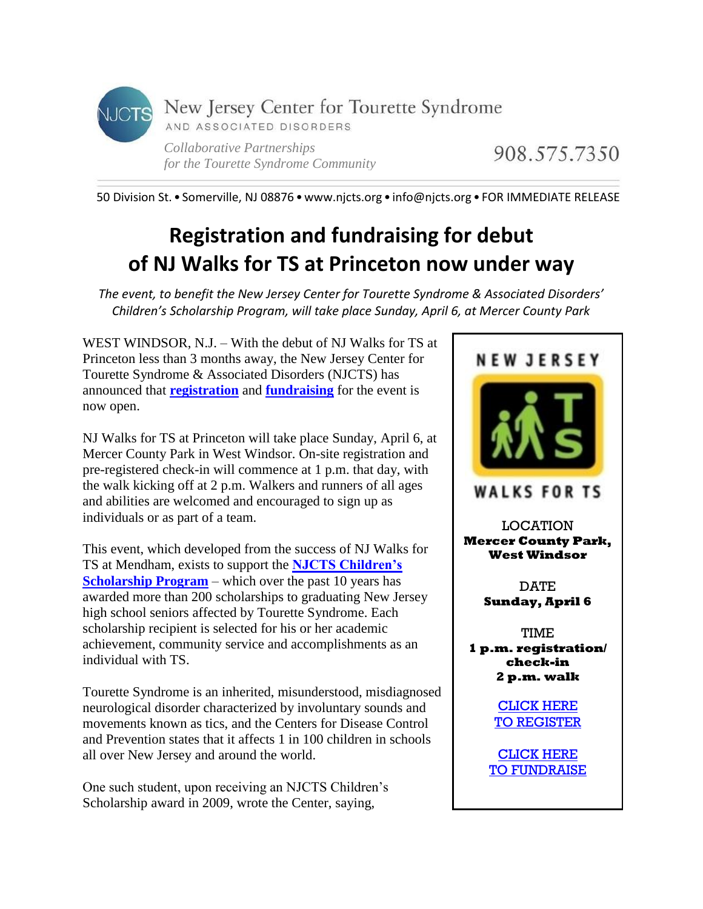

908.575.7350

50 Division St. • Somerville, NJ 08876 •www.njcts.org • info@njcts.org • FOR IMMEDIATE RELEASE

## **Registration and fundraising for debut of NJ Walks for TS at Princeton now under way**

*The event, to benefit the New Jersey Center for Tourette Syndrome & Associated Disorders' Children's Scholarship Program, will take place Sunday, April 6, at Mercer County Park*

WEST WINDSOR, N.J. – With the debut of NJ Walks for TS at Princeton less than 3 months away, the New Jersey Center for Tourette Syndrome & Associated Disorders (NJCTS) has announced that **[registration](http://www.active.com/west-windsor-nj/running/races/nj-walks-for-ts-at-princeton-2014)** and **[fundraising](http://www.active.com/donate/NJWalks4TSPrinceton)** for the event is now open.

NJ Walks for TS at Princeton will take place Sunday, April 6, at Mercer County Park in West Windsor. On-site registration and pre-registered check-in will commence at 1 p.m. that day, with the walk kicking off at 2 p.m. Walkers and runners of all ages and abilities are welcomed and encouraged to sign up as individuals or as part of a team.

This event, which developed from the success of NJ Walks for TS at Mendham, exists to support the **[NJCTS Children's](http://www.njcts.org/teens4ts/tag/scholarships/)  [Scholarship Program](http://www.njcts.org/teens4ts/tag/scholarships/)** – which over the past 10 years has awarded more than 200 scholarships to graduating New Jersey high school seniors affected by Tourette Syndrome. Each scholarship recipient is selected for his or her academic achievement, community service and accomplishments as an individual with TS.

Tourette Syndrome is an inherited, misunderstood, misdiagnosed neurological disorder characterized by involuntary sounds and movements known as tics, and the Centers for Disease Control and Prevention states that it affects 1 in 100 children in schools all over New Jersey and around the world.

One such student, upon receiving an NJCTS Children's Scholarship award in 2009, wrote the Center, saying,